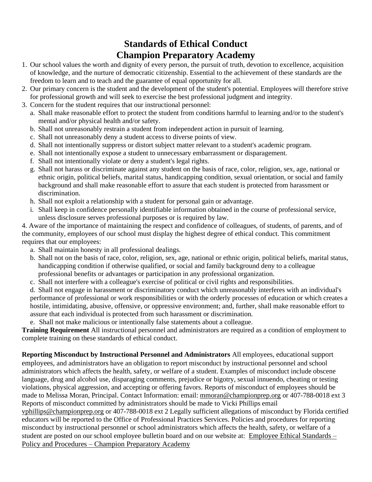## **Standards of Ethical Conduct Champion Preparatory Academy**

- 1. Our school values the worth and dignity of every person, the pursuit of truth, devotion to excellence, acquisition of knowledge, and the nurture of democratic citizenship. Essential to the achievement of these standards are the freedom to learn and to teach and the guarantee of equal opportunity for all.
- 2. Our primary concern is the student and the development of the student's potential. Employees will therefore strive for professional growth and will seek to exercise the best professional judgment and integrity.
- 3. Concern for the student requires that our instructional personnel:
	- a. Shall make reasonable effort to protect the student from conditions harmful to learning and/or to the student's mental and/or physical health and/or safety.
	- b. Shall not unreasonably restrain a student from independent action in pursuit of learning.
	- c. Shall not unreasonably deny a student access to diverse points of view.
	- d. Shall not intentionally suppress or distort subject matter relevant to a student's academic program.
	- e. Shall not intentionally expose a student to unnecessary embarrassment or disparagement.
	- f. Shall not intentionally violate or deny a student's legal rights.
	- g. Shall not harass or discriminate against any student on the basis of race, color, religion, sex, age, national or ethnic origin, political beliefs, marital status, handicapping condition, sexual orientation, or social and family background and shall make reasonable effort to assure that each student is protected from harassment or discrimination.
	- h. Shall not exploit a relationship with a student for personal gain or advantage.
	- i. Shall keep in confidence personally identifiable information obtained in the course of professional service, unless disclosure serves professional purposes or is required by law.

4. Aware of the importance of maintaining the respect and confidence of colleagues, of students, of parents, and of the community, employees of our school must display the highest degree of ethical conduct. This commitment requires that our employees:

- a. Shall maintain honesty in all professional dealings.
- b. Shall not on the basis of race, color, religion, sex, age, national or ethnic origin, political beliefs, marital status, handicapping condition if otherwise qualified, or social and family background deny to a colleague professional benefits or advantages or participation in any professional organization.
- c. Shall not interfere with a colleague's exercise of political or civil rights and responsibilities.

d. Shall not engage in harassment or discriminatory conduct which unreasonably interferes with an individual's performance of professional or work responsibilities or with the orderly processes of education or which creates a hostile, intimidating, abusive, offensive, or oppressive environment; and, further, shall make reasonable effort to assure that each individual is protected from such harassment or discrimination.

e. Shall not make malicious or intentionally false statements about a colleague.

**Training Requirement** All instructional personnel and administrators are required as a condition of employment to complete training on these standards of ethical conduct.

**Reporting Misconduct by Instructional Personnel and Administrators** All employees, educational support employees, and administrators have an obligation to report misconduct by instructional personnel and school administrators which affects the health, safety, or welfare of a student. Examples of misconduct include obscene language, drug and alcohol use, disparaging comments, prejudice or bigotry, sexual innuendo, cheating or testing violations, physical aggression, and accepting or offering favors. Reports of misconduct of employees should be made to Melissa Moran, Principal. Contact Information: email: [mmoran@championprep.org](mailto:mmoran@championprep.org) or 407-788-0018 ext 3 Reports of misconduct committed by administrators should be made to Vicki Phillips email

[vphillips@championprep.org](mailto:vphillips@championprep.org) or 407-788-0018 ext 2 Legally sufficient allegations of misconduct by Florida certified educators will be reported to the Office of Professional Practices Services. Policies and procedures for reporting misconduct by instructional personnel or school administrators which affects the health, safety, or welfare of a student are posted on our school employee bulletin board and on our website at: [Employee Ethical Standards –](https://www.championprep.org/employee-ethical-standards-policy-and-procedures/) Policy and Procedures – [Champion Preparatory Academy](https://www.championprep.org/employee-ethical-standards-policy-and-procedures/)